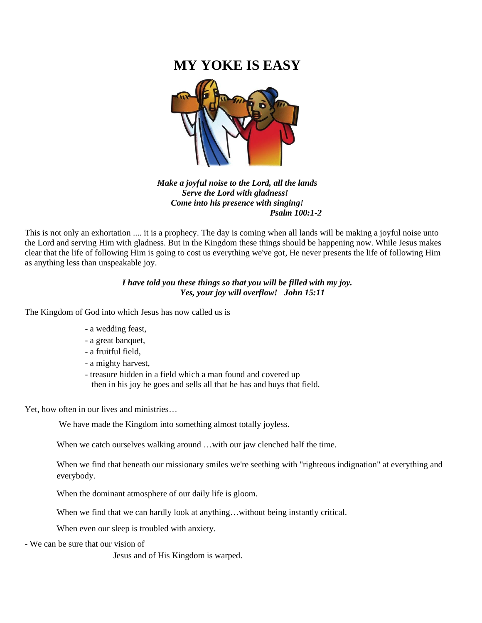# **MY YOKE IS EASY**



*Make a joyful noise to the Lord, all the lands Serve the Lord with gladness! Come into his presence with singing! Psalm 100:1-2*

This is not only an exhortation .... it is a prophecy. The day is coming when all lands will be making a joyful noise unto the Lord and serving Him with gladness. But in the Kingdom these things should be happening now. While Jesus makes clear that the life of following Him is going to cost us everything we've got, He never presents the life of following Him as anything less than unspeakable joy.

# *I have told you these things so that you will be filled with my joy. Yes, your joy will overflow! John 15:11*

The Kingdom of God into which Jesus has now called us is

- a wedding feast,
- a great banquet,
- a fruitful field,
- a mighty harvest,
- treasure hidden in a field which a man found and covered up then in his joy he goes and sells all that he has and buys that field.

Yet, how often in our lives and ministries…

We have made the Kingdom into something almost totally joyless.

When we catch ourselves walking around ... with our jaw clenched half the time.

When we find that beneath our missionary smiles we're seething with "righteous indignation" at everything and everybody.

When the dominant atmosphere of our daily life is gloom.

When we find that we can hardly look at anything…without being instantly critical.

When even our sleep is troubled with anxiety.

- We can be sure that our vision of

Jesus and of His Kingdom is warped.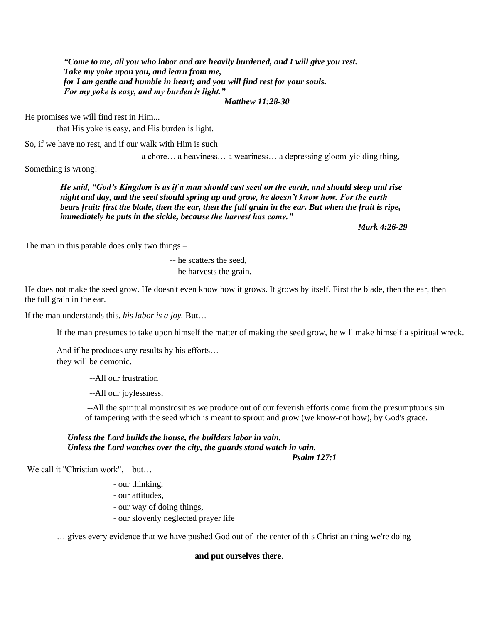*"Come to me, all you who labor and are heavily burdened, and I will give you rest. Take my yoke upon you, and learn from me, for I am gentle and humble in heart; and you will find rest for your souls. For my yoke is easy, and my burden is light."*

*Matthew 11:28-30*

He promises we will find rest in Him...

that His yoke is easy, and His burden is light.

So, if we have no rest, and if our walk with Him is such

a chore… a heaviness… a weariness… a depressing gloom-yielding thing,

Something is wrong!

*He said, "God's Kingdom is as if a man should cast seed on the earth, and should sleep and rise night and day, and the seed should spring up and grow, he doesn't know how. For the earth bears fruit: first the blade, then the ear, then the full grain in the ear. But when the fruit is ripe, immediately he puts in the sickle, because the harvest has come."*

*Mark 4:26-29*

The man in this parable does only two things –

-- he scatters the seed,

-- he harvests the grain.

He does not make the seed grow. He doesn't even know how it grows. It grows by itself. First the blade, then the ear, then the full grain in the ear.

If the man understands this, *his labor is a joy.* But…

If the man presumes to take upon himself the matter of making the seed grow, he will make himself a spiritual wreck.

And if he produces any results by his efforts… they will be demonic.

--All our frustration

--All our joylessness,

--All the spiritual monstrosities we produce out of our feverish efforts come from the presumptuous sin of tampering with the seed which is meant to sprout and grow (we know-not how), by God's grace.

#### *Unless the Lord builds the house, the builders labor in vain. Unless the Lord watches over the city, the guards stand watch in vain. Psalm 127:1*

We call it "Christian work", but...

- our thinking,
- our attitudes,
- our way of doing things,
- our slovenly neglected prayer life

… gives every evidence that we have pushed God out of the center of this Christian thing we're doing

#### **and put ourselves there**.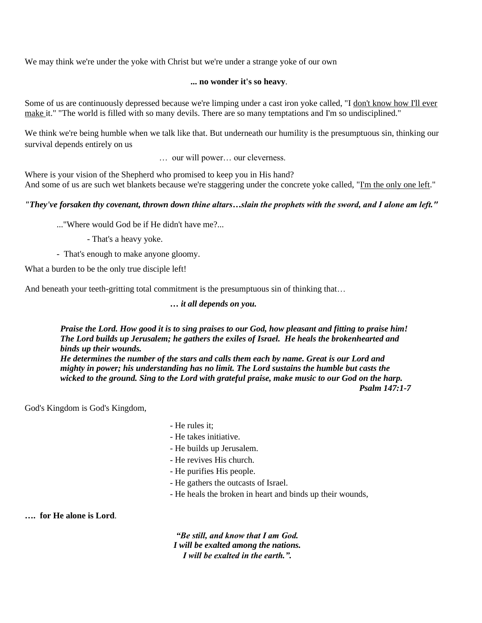We may think we're under the yoke with Christ but we're under a strange yoke of our own

### **... no wonder it's so heavy**.

Some of us are continuously depressed because we're limping under a cast iron yoke called, "I don't know how I'll ever make it." "The world is filled with so many devils. There are so many temptations and I'm so undisciplined."

We think we're being humble when we talk like that. But underneath our humility is the presumptuous sin, thinking our survival depends entirely on us

… our will power… our cleverness.

Where is your vision of the Shepherd who promised to keep you in His hand? And some of us are such wet blankets because we're staggering under the concrete yoke called, "I'm the only one left."

# *"They've forsaken thy covenant, thrown down thine altars…slain the prophets with the sword, and I alone am left."*

..."Where would God be if He didn't have me?...

- That's a heavy yoke.
- That's enough to make anyone gloomy.

What a burden to be the only true disciple left!

And beneath your teeth-gritting total commitment is the presumptuous sin of thinking that...

**…** *it all depends on you.*

*Praise the Lord. How good it is to sing praises to our God, how pleasant and fitting to praise him! The Lord builds up Jerusalem; he gathers the exiles of Israel. He heals the brokenhearted and binds up their wounds.*

*He determines the number of the stars and calls them each by name. Great is our Lord and mighty in power; his understanding has no limit. The Lord sustains the humble but casts the wicked to the ground. Sing to the Lord with grateful praise, make music to our God on the harp. Psalm 147:1-7*

God's Kingdom is God's Kingdom,

- He rules it;
- He takes initiative.
- He builds up Jerusalem.
- He revives His church.
- He purifies His people.
- He gathers the outcasts of Israel.
- He heals the broken in heart and binds up their wounds,

**…. for He alone is Lord**.

*"Be still, and know that I am God. I will be exalted among the nations. I will be exalted in the earth.".*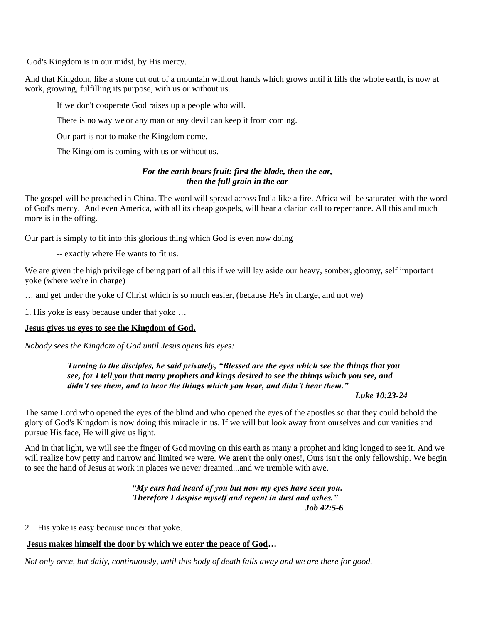God's Kingdom is in our midst, by His mercy.

And that Kingdom, like a stone cut out of a mountain without hands which grows until it fills the whole earth, is now at work, growing, fulfilling its purpose, with us or without us.

If we don't cooperate God raises up a people who will.

There is no way we or any man or any devil can keep it from coming.

Our part is not to make the Kingdom come.

The Kingdom is coming with us or without us.

## *For the earth bears fruit: first the blade, then the ear, then the full grain in the ear*

The gospel will be preached in China. The word will spread across India like a fire. Africa will be saturated with the word of God's mercy. And even America, with all its cheap gospels, will hear a clarion call to repentance. All this and much more is in the offing.

Our part is simply to fit into this glorious thing which God is even now doing

-- exactly where He wants to fit us.

We are given the high privilege of being part of all this if we will lay aside our heavy, somber, gloomy, self important yoke (where we're in charge)

… and get under the yoke of Christ which is so much easier, (because He's in charge, and not we)

1. His yoke is easy because under that yoke …

#### **Jesus gives us eyes to see the Kingdom of God.**

*Nobody sees the Kingdom of God until Jesus opens his eyes:*

*Turning to the disciples, he said privately, "Blessed are the eyes which see the things that you see, for I tell you that many prophets and kings desired to see the things which you see, and didn't see them, and to hear the things which you hear, and didn't hear them."*

#### *Luke 10:23-24*

The same Lord who opened the eyes of the blind and who opened the eyes of the apostles so that they could behold the glory of God's Kingdom is now doing this miracle in us. If we will but look away from ourselves and our vanities and pursue His face, He will give us light.

And in that light, we will see the finger of God moving on this earth as many a prophet and king longed to see it. And we will realize how petty and narrow and limited we were. We aren't the only ones!, Ours isn't the only fellowship. We begin to see the hand of Jesus at work in places we never dreamed...and we tremble with awe.

> *"My ears had heard of you but now my eyes have seen you. Therefore I despise myself and repent in dust and ashes." Job 42:5-6*

2. His yoke is easy because under that yoke…

#### **Jesus makes himself the door by which we enter the peace of God…**

*Not only once, but daily, continuously, until this body of death falls away and we are there for good.*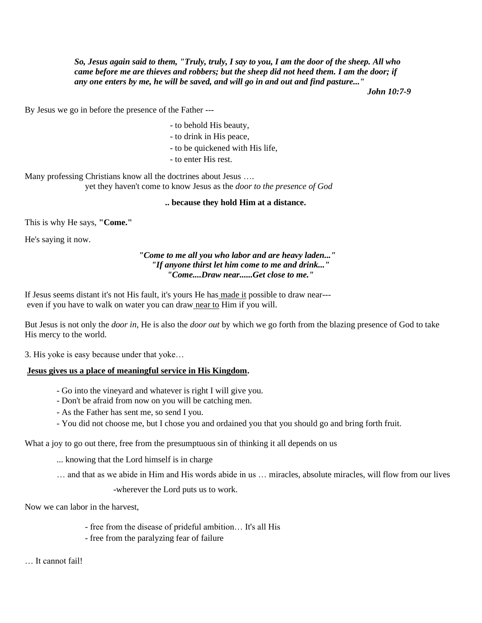*So, Jesus again said to them, "Truly, truly, I say to you, I am the door of the sheep. All who came before me are thieves and robbers; but the sheep did not heed them. I am the door; if any one enters by me, he will be saved, and will go in and out and find pasture..."* 

*John 10:7-9*

By Jesus we go in before the presence of the Father ---

- to behold His beauty,
- to drink in His peace,
- to be quickened with His life,
- to enter His rest.

Many professing Christians know all the doctrines about Jesus …. yet they haven't come to know Jesus as the *door to the presence of God*

#### **.. because they hold Him at a distance.**

This is why He says, **"Come."** 

He's saying it now.

### *"Come to me all you who labor and are heavy laden..." "If anyone thirst let him come to me and drink..." "Come....Draw near......Get close to me."*

If Jesus seems distant it's not His fault, it's yours He has [made it](http://made.it/) possible to draw near-- even if you have to walk on water you can draw [near to](about:blank) Him if you will.

But Jesus is not only the *door in*, He is also the *door out* by which we go forth from the blazing presence of God to take His mercy to the world.

3. His yoke is easy because under that yoke…

#### **Jesus gives us a place of meaningful service in His Kingdom.**

- Go into the vineyard and whatever is right I will give you.
- Don't be afraid from now on you will be catching men.
- As the Father has sent me, so send I you.
- You did not choose me, but I chose you and ordained you that you should go and bring forth fruit.

What a joy to go out there, free from the presumptuous sin of thinking it all depends on us

- ... knowing that the Lord himself is in charge
- … and that as we abide in Him and His words abide in us … miracles, absolute miracles, will flow from our lives

-wherever the Lord puts us to work.

Now we can labor in the harvest,

- free from the disease of prideful ambition… It's all His
- free from the paralyzing fear of failure

… It cannot fail!